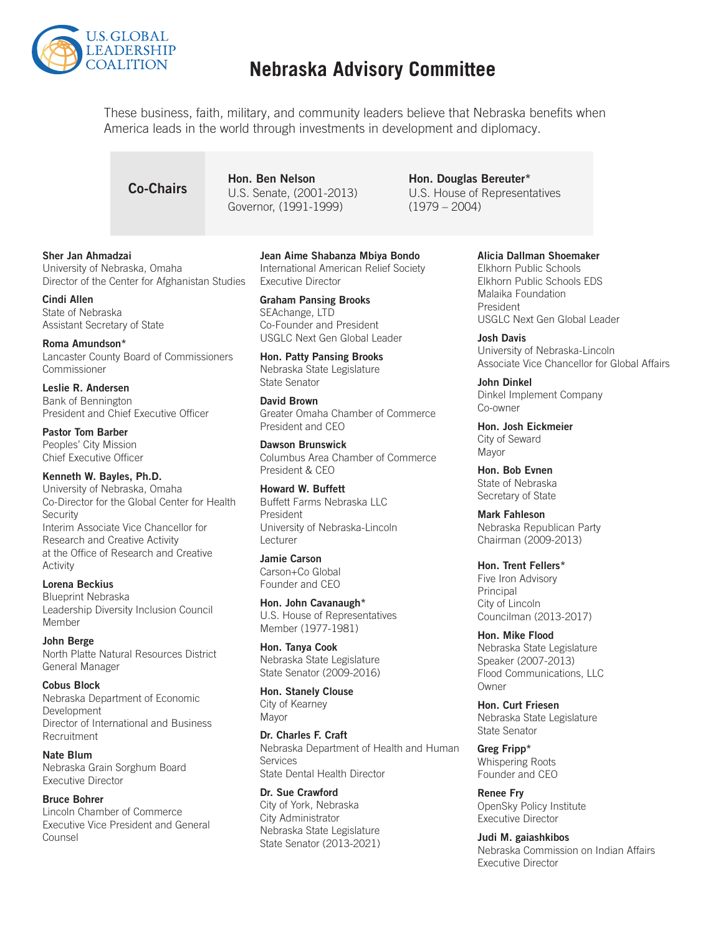

## **Nebraska Advisory Committee**

These business, faith, military, and community leaders believe that Nebraska benefits when America leads in the world through investments in development and diplomacy.

**Co-Chairs** Hon. Ben Nelson<br>
U.S. Senate, (2001-2013) Governor, (1991-1999)

Hon. Douglas Bereuter\* U.S. House of Representatives (1979 – 2004)

#### Sher Jan Ahmadzai

University of Nebraska, Omaha Director of the Center for Afghanistan Studies

Cindi Allen State of Nebraska Assistant Secretary of State

Roma Amundson\* Lancaster County Board of Commissioners Commissioner

Leslie R. Andersen Bank of Bennington President and Chief Executive Officer

Pastor Tom Barber Peoples' City Mission Chief Executive Officer

#### Kenneth W. Bayles, Ph.D.

University of Nebraska, Omaha Co-Director for the Global Center for Health **Security** Interim Associate Vice Chancellor for Research and Creative Activity at the Office of Research and Creative Activity

Lorena Beckius Blueprint Nebraska Leadership Diversity Inclusion Council Member

John Berge North Platte Natural Resources District General Manager

Cobus Block Nebraska Department of Economic Development Director of International and Business Recruitment

Nate Blum Nebraska Grain Sorghum Board Executive Director

#### Bruce Bohrer

Lincoln Chamber of Commerce Executive Vice President and General Counsel

Jean Aime Shabanza Mbiya Bondo International American Relief Society Executive Director

Graham Pansing Brooks SEAchange, LTD Co-Founder and President USGLC Next Gen Global Leader

Hon. Patty Pansing Brooks Nebraska State Legislature State Senator

David Brown Greater Omaha Chamber of Commerce President and CEO

Dawson Brunswick Columbus Area Chamber of Commerce President & CEO

Howard W. Buffett Buffett Farms Nebraska LLC President University of Nebraska-Lincoln Lecturer

### Jamie Carson

Carson+Co Global Founder and CEO

Hon. John Cavanaugh\* U.S. House of Representatives Member (1977-1981)

Hon. Tanya Cook Nebraska State Legislature State Senator (2009-2016)

Hon. Stanely Clouse City of Kearney Mayor

Dr. Charles F. Craft Nebraska Department of Health and Human Services State Dental Health Director

Dr. Sue Crawford City of York, Nebraska City Administrator Nebraska State Legislature State Senator (2013-2021) Alicia Dallman Shoemaker

Elkhorn Public Schools Elkhorn Public Schools EDS Malaika Foundation President USGLC Next Gen Global Leader

Josh Davis University of Nebraska-Lincoln Associate Vice Chancellor for Global Affairs

John Dinkel Dinkel Implement Company Co-owner

Hon. Josh Eickmeier City of Seward Mayor

Hon. Bob Evnen State of Nebraska Secretary of State

Mark Fahleson Nebraska Republican Party Chairman (2009-2013)

Hon. Trent Fellers\* Five Iron Advisory Principal City of Lincoln Councilman (2013-2017)

Hon. Mike Flood Nebraska State Legislature Speaker (2007-2013) Flood Communications, LLC **Owner** 

Hon. Curt Friesen Nebraska State Legislature State Senator

Greg Fripp\* Whispering Roots Founder and CEO

Renee Fry OpenSky Policy Institute Executive Director

Judi M. gaiashkibos Nebraska Commission on Indian Affairs Executive Director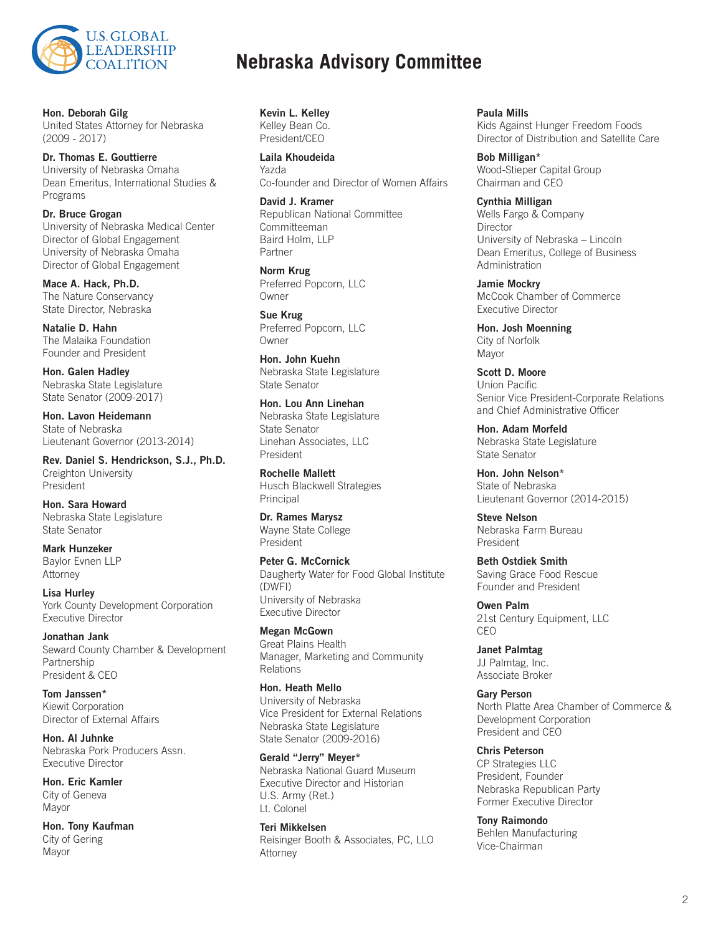

Hon. Deborah Gilg United States Attorney for Nebraska (2009 - 2017)

Dr. Thomas E. Gouttierre University of Nebraska Omaha Dean Emeritus, International Studies & Programs

Dr. Bruce Grogan University of Nebraska Medical Center Director of Global Engagement University of Nebraska Omaha Director of Global Engagement

Mace A. Hack, Ph.D. The Nature Conservancy State Director, Nebraska

Natalie D. Hahn The Malaika Foundation Founder and President

Hon. Galen Hadley Nebraska State Legislature State Senator (2009-2017)

Hon. Lavon Heidemann State of Nebraska Lieutenant Governor (2013-2014)

Rev. Daniel S. Hendrickson, S.J., Ph.D. Creighton University President

Hon. Sara Howard Nebraska State Legislature State Senator

Mark Hunzeker Baylor Evnen LLP Attorney

Lisa Hurley York County Development Corporation Executive Director

Jonathan Jank Seward County Chamber & Development Partnership President & CEO

Tom Janssen\* Kiewit Corporation Director of External Affairs

Hon. Al Juhnke Nebraska Pork Producers Assn. Executive Director

Hon. Eric Kamler City of Geneva Mayor

Hon. Tony Kaufman City of Gering Mayor

## **Nebraska Advisory Committee**

Kevin L. Kelley Kelley Bean Co. President/CEO

Laila Khoudeida Yazda Co-founder and Director of Women Affairs

David J. Kramer Republican National Committee Committeeman Baird Holm, LLP Partner

Norm Krug Preferred Popcorn, LLC Owner

Sue Krug Preferred Popcorn, LLC **Owner** 

Hon. John Kuehn Nebraska State Legislature State Senator

Hon. Lou Ann Linehan Nebraska State Legislature State Senator Linehan Associates, LLC President

Rochelle Mallett Husch Blackwell Strategies Principal

Dr. Rames Marysz Wayne State College President

Peter G. McCornick Daugherty Water for Food Global Institute (DWFI) University of Nebraska Executive Director

Megan McGown Great Plains Health Manager, Marketing and Community Relations

Hon. Heath Mello University of Nebraska Vice President for External Relations Nebraska State Legislature State Senator (2009-2016)

Gerald "Jerry" Meyer\* Nebraska National Guard Museum Executive Director and Historian U.S. Army (Ret.) Lt. Colonel

Teri Mikkelsen Reisinger Booth & Associates, PC, LLO Attorney

Paula Mills Kids Against Hunger Freedom Foods Director of Distribution and Satellite Care

Bob Milligan\* Wood-Stieper Capital Group Chairman and CEO

Cynthia Milligan Wells Fargo & Company **Director** University of Nebraska – Lincoln Dean Emeritus, College of Business Administration

Jamie Mockry McCook Chamber of Commerce Executive Director

Hon. Josh Moenning City of Norfolk Mayor

Scott D. Moore Union Pacific Senior Vice President-Corporate Relations and Chief Administrative Officer

Hon. Adam Morfeld Nebraska State Legislature State Senator

Hon. John Nelson\* State of Nebraska Lieutenant Governor (2014-2015)

Steve Nelson Nebraska Farm Bureau President

Beth Ostdiek Smith Saving Grace Food Rescue Founder and President

Owen Palm 21st Century Equipment, LLC CEO

Janet Palmtag JJ Palmtag, Inc. Associate Broker

Gary Person North Platte Area Chamber of Commerce & Development Corporation President and CEO

Chris Peterson CP Strategies LLC President, Founder Nebraska Republican Party Former Executive Director

Tony Raimondo Behlen Manufacturing Vice-Chairman